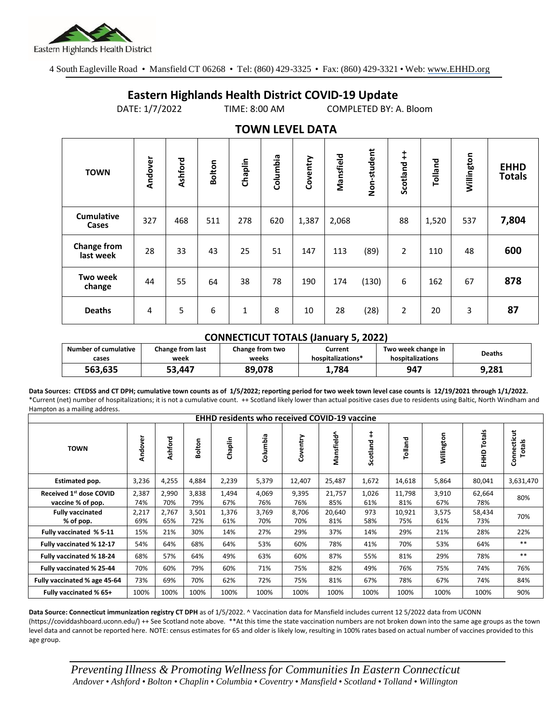

4 South Eagleville Road • Mansfield CT 06268 • Tel: (860) 429-3325 • Fax: (860) 429-3321 • Web: www.EHHD.org

## **Eastern Highlands Health District COVID-19 Update**

DATE: 1/7/2022 TIME: 8:00 AM COMPLETED BY: A. Bloom

| $19.111$ is the set of $17$ |         |         |        |              |          |          |           |             |                        |         |            |                              |
|-----------------------------|---------|---------|--------|--------------|----------|----------|-----------|-------------|------------------------|---------|------------|------------------------------|
| <b>TOWN</b>                 | Andover | Ashford | Bolton | Chaplin      | Columbia | Coventry | Mansfield | Non-student | $\ddagger$<br>Scotland | Tolland | Willington | <b>EHHD</b><br><b>Totals</b> |
| <b>Cumulative</b><br>Cases  | 327     | 468     | 511    | 278          | 620      | 1,387    | 2,068     |             | 88                     | 1,520   | 537        | 7,804                        |
| Change from<br>last week    | 28      | 33      | 43     | 25           | 51       | 147      | 113       | (89)        | $\overline{2}$         | 110     | 48         | 600                          |
| <b>Two week</b><br>change   | 44      | 55      | 64     | 38           | 78       | 190      | 174       | (130)       | 6                      | 162     | 67         | 878                          |
| <b>Deaths</b>               | 4       | 5       | 6      | $\mathbf{1}$ | 8        | 10       | 28        | (28)        | $\overline{2}$         | 20      | 3          | 87                           |

## **TOWN LEVEL DATA**

## **CONNECTICUT TOTALS (January 5, 2022)**

| Number of cumulative | Change from last | Change from two | Current           | Two week change in | <b>Deaths</b> |
|----------------------|------------------|-----------------|-------------------|--------------------|---------------|
| cases                | week             | weeks           | hospitalizations* | hospitalizations   |               |
| 563.635              | 53.447           | 89.078          | 1.784             | 947                | 9,281         |

**Data Sources: CTEDSS and CT DPH; cumulative town counts as of 1/5/2022; reporting period for two week town level case counts is 12/19/2021 through 1/1/2022.** \*Current (net) number of hospitalizations; it is not a cumulative count. ++ Scotland likely lower than actual positive cases due to residents using Baltic, North Windham and Hampton as a mailing address.

| <b>EHHD residents who received COVID-19 vaccine</b> |              |              |              |              |               |              |               |              |               |              |                  |                       |
|-----------------------------------------------------|--------------|--------------|--------------|--------------|---------------|--------------|---------------|--------------|---------------|--------------|------------------|-----------------------|
| <b>TOWN</b>                                         | Andover      | Ashford      | Bolton       | Chaplin      | umbia<br>శ్రే | Coventry     | Mansfield^    | Scotland     | Tolland       | Willington   | Totals<br>오<br>도 | Connecticut<br>Totals |
| Estimated pop.                                      | 3,236        | 4,255        | 4,884        | 2,239        | 5,379         | 12,407       | 25,487        | 1,672        | 14,618        | 5,864        | 80,041           | 3,631,470             |
| Received 1st dose COVID<br>vaccine % of pop.        | 2,387<br>74% | 2,990<br>70% | 3,838<br>79% | 1,494<br>67% | 4,069<br>76%  | 9,395<br>76% | 21,757<br>85% | 1,026<br>61% | 11,798<br>81% | 3,910<br>67% | 62,664<br>78%    | 80%                   |
| <b>Fully vaccinated</b><br>% of pop.                | 2,217<br>69% | 2,767<br>65% | 3,501<br>72% | 1,376<br>61% | 3,769<br>70%  | 8,706<br>70% | 20,640<br>81% | 973<br>58%   | 10,921<br>75% | 3,575<br>61% | 58,434<br>73%    | 70%                   |
| Fully vaccinated % 5-11                             | 15%          | 21%          | 30%          | 14%          | 27%           | 29%          | 37%           | 14%          | 29%           | 21%          | 28%              | 22%                   |
| Fully vaccinated % 12-17                            | 54%          | 64%          | 68%          | 64%          | 53%           | 60%          | 78%           | 41%          | 70%           | 53%          | 64%              | $***$                 |
| Fully vaccinated % 18-24                            | 68%          | 57%          | 64%          | 49%          | 63%           | 60%          | 87%           | 55%          | 81%           | 29%          | 78%              | $***$                 |
| Fully vaccinated % 25-44                            | 70%          | 60%          | 79%          | 60%          | 71%           | 75%          | 82%           | 49%          | 76%           | 75%          | 74%              | 76%                   |
| Fully vaccinated % age 45-64                        | 73%          | 69%          | 70%          | 62%          | 72%           | 75%          | 81%           | 67%          | 78%           | 67%          | 74%              | 84%                   |
| Fully vaccinated % 65+                              | 100%         | 100%         | 100%         | 100%         | 100%          | 100%         | 100%          | 100%         | 100%          | 100%         | 100%             | 90%                   |

**Data Source: Connecticut immunization registry CT DPH** as of 1/5/2022. ^ Vaccination data for Mansfield includes current 12 5/2022 data from UCONN (https://coviddashboard.uconn.edu/) ++ See Scotland note above. \*\*At this time the state vaccination numbers are not broken down into the same age groups as the town level data and cannot be reported here. NOTE: census estimates for 65 and older is likely low, resulting in 100% rates based on actual number of vaccines provided to this age group.

*Preventing Illness & Promoting Wellnessfor Communities In Eastern Connecticut* Andover • Ashford • Bolton • Chaplin • Columbia • Coventry • Mansfield • Scotland • Tolland • Willington